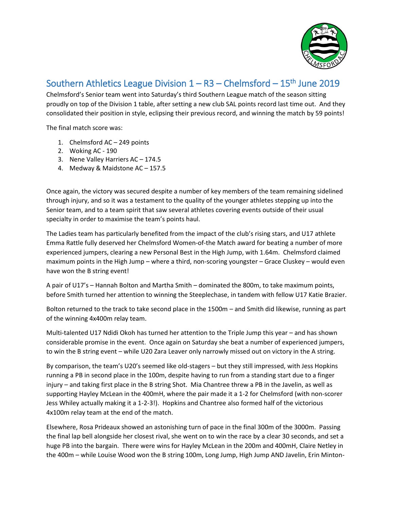

## Southern Athletics League Division  $1 - R3 - C$ helmsford - 15<sup>th</sup> June 2019

Chelmsford's Senior team went into Saturday's third Southern League match of the season sitting proudly on top of the Division 1 table, after setting a new club SAL points record last time out. And they consolidated their position in style, eclipsing their previous record, and winning the match by 59 points!

The final match score was:

- 1. Chelmsford AC 249 points
- 2. Woking AC 190
- 3. Nene Valley Harriers AC 174.5
- 4. Medway & Maidstone AC 157.5

Once again, the victory was secured despite a number of key members of the team remaining sidelined through injury, and so it was a testament to the quality of the younger athletes stepping up into the Senior team, and to a team spirit that saw several athletes covering events outside of their usual specialty in order to maximise the team's points haul.

The Ladies team has particularly benefited from the impact of the club's rising stars, and U17 athlete Emma Rattle fully deserved her Chelmsford Women-of-the Match award for beating a number of more experienced jumpers, clearing a new Personal Best in the High Jump, with 1.64m. Chelmsford claimed maximum points in the High Jump – where a third, non-scoring youngster – Grace Cluskey – would even have won the B string event!

A pair of U17's – Hannah Bolton and Martha Smith – dominated the 800m, to take maximum points, before Smith turned her attention to winning the Steeplechase, in tandem with fellow U17 Katie Brazier.

Bolton returned to the track to take second place in the 1500m – and Smith did likewise, running as part of the winning 4x400m relay team.

Multi-talented U17 Ndidi Okoh has turned her attention to the Triple Jump this year – and has shown considerable promise in the event. Once again on Saturday she beat a number of experienced jumpers, to win the B string event – while U20 Zara Leaver only narrowly missed out on victory in the A string.

By comparison, the team's U20's seemed like old-stagers – but they still impressed, with Jess Hopkins running a PB in second place in the 100m, despite having to run from a standing start due to a finger injury – and taking first place in the B string Shot. Mia Chantree threw a PB in the Javelin, as well as supporting Hayley McLean in the 400mH, where the pair made it a 1-2 for Chelmsford (with non-scorer Jess Whiley actually making it a 1-2-3!). Hopkins and Chantree also formed half of the victorious 4x100m relay team at the end of the match.

Elsewhere, Rosa Prideaux showed an astonishing turn of pace in the final 300m of the 3000m. Passing the final lap bell alongside her closest rival, she went on to win the race by a clear 30 seconds, and set a huge PB into the bargain. There were wins for Hayley McLean in the 200m and 400mH, Claire Netley in the 400m – while Louise Wood won the B string 100m, Long Jump, High Jump AND Javelin, Erin Minton-